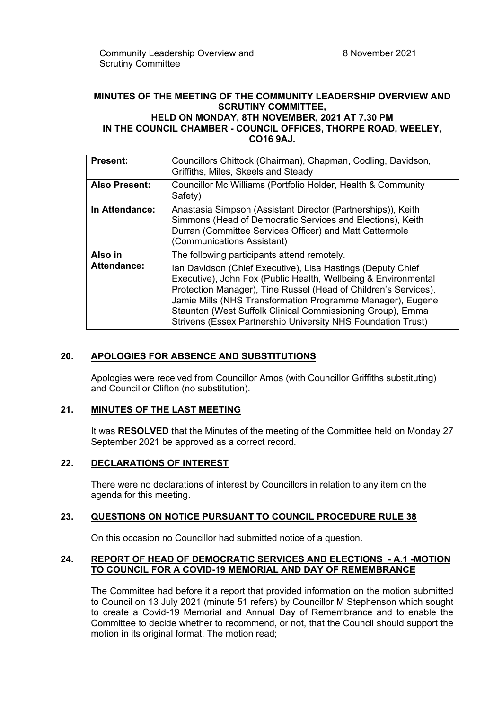# **MINUTES OF THE MEETING OF THE COMMUNITY LEADERSHIP OVERVIEW AND SCRUTINY COMMITTEE, HELD ON MONDAY, 8TH NOVEMBER, 2021 AT 7.30 PM**

**IN THE COUNCIL CHAMBER - COUNCIL OFFICES, THORPE ROAD, WEELEY, CO16 9AJ.**

| <b>Present:</b>               | Councillors Chittock (Chairman), Chapman, Codling, Davidson,<br>Griffiths, Miles, Skeels and Steady                                                                                                                                                                                                                                                                                                                                         |
|-------------------------------|---------------------------------------------------------------------------------------------------------------------------------------------------------------------------------------------------------------------------------------------------------------------------------------------------------------------------------------------------------------------------------------------------------------------------------------------|
| <b>Also Present:</b>          | Councillor Mc Williams (Portfolio Holder, Health & Community<br>Safety)                                                                                                                                                                                                                                                                                                                                                                     |
| In Attendance:                | Anastasia Simpson (Assistant Director (Partnerships)), Keith<br>Simmons (Head of Democratic Services and Elections), Keith<br>Durran (Committee Services Officer) and Matt Cattermole<br>(Communications Assistant)                                                                                                                                                                                                                         |
| Also in<br><b>Attendance:</b> | The following participants attend remotely.<br>Ian Davidson (Chief Executive), Lisa Hastings (Deputy Chief<br>Executive), John Fox (Public Health, Wellbeing & Environmental<br>Protection Manager), Tine Russel (Head of Children's Services),<br>Jamie Mills (NHS Transformation Programme Manager), Eugene<br>Staunton (West Suffolk Clinical Commissioning Group), Emma<br>Strivens (Essex Partnership University NHS Foundation Trust) |

## **20. APOLOGIES FOR ABSENCE AND SUBSTITUTIONS**

Apologies were received from Councillor Amos (with Councillor Griffiths substituting) and Councillor Clifton (no substitution).

#### **21. MINUTES OF THE LAST MEETING**

It was **RESOLVED** that the Minutes of the meeting of the Committee held on Monday 27 September 2021 be approved as a correct record.

# **22. DECLARATIONS OF INTEREST**

There were no declarations of interest by Councillors in relation to any item on the agenda for this meeting.

#### **23. QUESTIONS ON NOTICE PURSUANT TO COUNCIL PROCEDURE RULE 38**

On this occasion no Councillor had submitted notice of a question.

#### **24. REPORT OF HEAD OF DEMOCRATIC SERVICES AND ELECTIONS - A.1 -MOTION TO COUNCIL FOR A COVID-19 MEMORIAL AND DAY OF REMEMBRANCE**

The Committee had before it a report that provided information on the motion submitted to Council on 13 July 2021 (minute 51 refers) by Councillor M Stephenson which sought to create a Covid-19 Memorial and Annual Day of Remembrance and to enable the Committee to decide whether to recommend, or not, that the Council should support the motion in its original format. The motion read;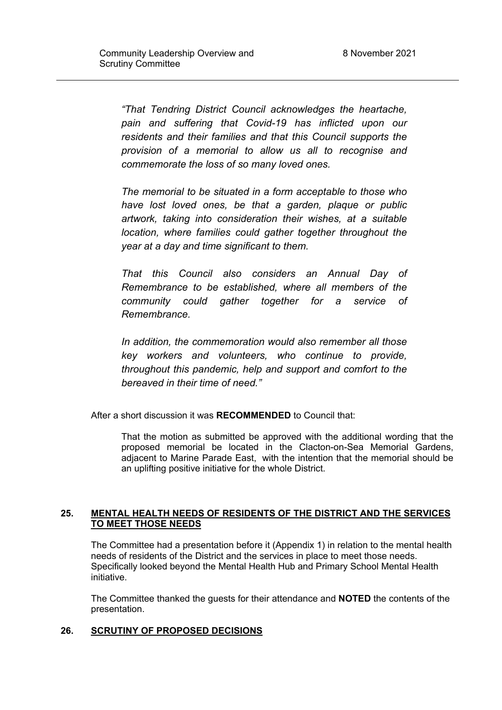*"That Tendring District Council acknowledges the heartache, pain and suffering that Covid-19 has inflicted upon our residents and their families and that this Council supports the provision of a memorial to allow us all to recognise and commemorate the loss of so many loved ones.*

*The memorial to be situated in a form acceptable to those who have lost loved ones, be that a garden, plaque or public artwork, taking into consideration their wishes, at a suitable location, where families could gather together throughout the year at a day and time significant to them.*

*That this Council also considers an Annual Day of Remembrance to be established, where all members of the community could gather together for a service of Remembrance.*

*In addition, the commemoration would also remember all those key workers and volunteers, who continue to provide, throughout this pandemic, help and support and comfort to the bereaved in their time of need."*

After a short discussion it was **RECOMMENDED** to Council that:

That the motion as submitted be approved with the additional wording that the proposed memorial be located in the Clacton-on-Sea Memorial Gardens, adjacent to Marine Parade East, with the intention that the memorial should be an uplifting positive initiative for the whole District.

## **25. MENTAL HEALTH NEEDS OF RESIDENTS OF THE DISTRICT AND THE SERVICES TO MEET THOSE NEEDS**

The Committee had a presentation before it (Appendix 1) in relation to the mental health needs of residents of the District and the services in place to meet those needs. Specifically looked beyond the Mental Health Hub and Primary School Mental Health initiative.

The Committee thanked the guests for their attendance and **NOTED** the contents of the presentation.

## **26. SCRUTINY OF PROPOSED DECISIONS**